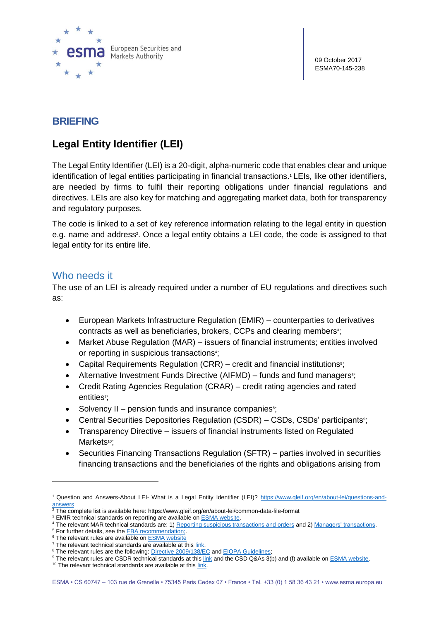

09 October 2017 ESMA70-145-238

# **BRIEFING**

# **Legal Entity Identifier (LEI)**

The Legal Entity Identifier (LEI) is a 20-digit, alpha-numeric code that enables clear and unique identification of legal entities participating in financial transactions.<sup>1</sup> LEIs, like other identifiers, are needed by firms to fulfil their reporting obligations under financial regulations and directives. LEIs are also key for matching and aggregating market data, both for transparency and regulatory purposes.

The code is linked to a set of key reference information relating to the legal entity in question e.g. name and address<sup>2</sup>. Once a legal entity obtains a LEI code, the code is assigned to that legal entity for its entire life.

## Who needs it

 $\overline{a}$ 

The use of an LEI is already required under a number of EU regulations and directives such as:

- [European Markets Infrastructure Regulation \(EMIR\)](https://www.emissions-euets.com/httpwwwemissions-euetscomemir-european-market-infrastructures-regulation) counterparties to derivatives contracts as well as beneficiaries, brokers, CCPs and clearing members<sup>3</sup>;
- [Market Abuse Regulation](https://www.emissions-euets.com/mad-mar-general-nformation) (MAR) issuers of financial instruments; entities involved or reporting in suspicious transactions<sup>4</sup>;
- Capital Requirements Regulation  $(CRR)$  credit and financial institutions<sup>5</sup>;
- Alternative Investment Funds Directive (AIFMD) funds and fund managers<sup>®</sup>;
- Credit Rating Agencies Regulation (CRAR) credit rating agencies and rated entities<sup>7</sup>;
- Solvency II pension funds and insurance companies<sup>8</sup>;
- Central Securities Depositories Regulation (CSDR) CSDs, CSDs' participants<sup>9</sup>;
- Transparency Directive issuers of financial instruments listed on Regulated Markets<sup>10</sup>;
- Securities Financing Transactions Regulation (SFTR) parties involved in securities financing transactions and the beneficiaries of the rights and obligations arising from

<sup>1</sup> Question and Answers-About LEI- What is a Legal Entity Identifier (LEI)? [https://www.gleif.org/en/about-lei/questions-and](https://www.gleif.org/en/about-lei/questions-and-answers)[answers](https://www.gleif.org/en/about-lei/questions-and-answers)

 $2$  The complete list is available here: https://www.gleif.org/en/about-lei/common-data-file-format

<sup>&</sup>lt;sup>3</sup> EMIR technical standards on reporting are available on **ESMA** website.

<sup>&</sup>lt;sup>4</sup> The relevant MAR technical standards are: 1) [Reporting suspicious transactions and orders](http://eur-lex.europa.eu/legal-content/EN/TXT/PDF/?uri=CELEX:32016R0957&from=EN) and 2[\) Managers' transactions.](http://eur-lex.europa.eu/legal-content/EN/TXT/PDF/?uri=CELEX:32016R0523&from=EN)

<sup>&</sup>lt;sup>5</sup> For further details, see the **EBA** recommendation;

<sup>&</sup>lt;sup>6</sup> The relevant rules are available on [ESMA website](http://www.esma.europa.eu/content/Guidelines-reporting-obligations-under-Articles-33d-and-241-2-and-4-AIFMD-0)

 $7$  The relevant technical standards are available at this [link.](http://eur-lex.europa.eu/legal-content/EN/TXT/?qid=1428495271399&uri=CELEX:32015R0002)

<sup>&</sup>lt;sup>8</sup> The relevant rules are the following: [Directive 2009/138/EC](https://eiopa.europa.eu/regulation-supervision/insurance/solvency-ii/solvency-ii-technical-specifications) an[d EIOPA Guidelines;](https://eiopa.europa.eu/Publications/Guidelines/LEI_GLs_EN_ORI.pdf)

<sup>9</sup> The relevant rules are CSDR technical standards at thi[s link](http://www.esma.europa.eu/system/files/2015-esma-1457_-_annex_ii_-_csdr_ts_on_csd_requirements_and_internalised_settlement.pdf) and the CSD Q&As 3(b) and (f) available o[n ESMA website.](http://sherpa.esma.europa.eu/sites/MKT/PTR/_layouts/15/DocIdRedir.aspx?ID=ESMA70-708036281-2)

 $10$  The relevant technical standards are available at this  $\frac{link}{l}$ .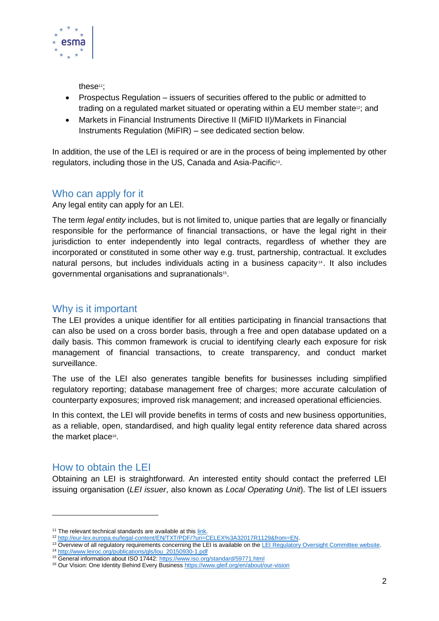

these<sup>11</sup>:

- Prospectus Regulation issuers of securities offered to the public or admitted to trading on a regulated market situated or operating within a EU member state<sup>12</sup>; and
- Markets in Financial Instruments Directive II [\(MiFID II\)/Markets in Financial](https://www.emissions-euets.com/mifidii-general-information)  [Instruments Regulation \(MiFIR\)](https://www.emissions-euets.com/mifidii-general-information) – see dedicated section below.

In addition, the use of the LEI is required or are in the process of being implemented by other regulators, including those in the US, Canada and Asia-Pacific<sup>13</sup>.

## Who can apply for it

Any legal entity can apply for an LEI.

The term *legal entity* includes, but is not limited to, unique parties that are legally or financially responsible for the performance of financial transactions, or have the legal right in their jurisdiction to enter independently into legal contracts, regardless of whether they are incorporated or constituted in some other way e.g. trust, partnership, contractual. It excludes natural persons, but includes individuals acting in a business capacity $4$ . It also includes governmental organisations and supranationals<sup>15</sup>.

#### Why is it important

The LEI provides a unique identifier for all entities participating in financial transactions that can also be used on a cross border basis, through a free and open database updated on a daily basis. This common framework is crucial to identifying clearly each exposure for risk management of financial transactions, to create transparency, and conduct market surveillance.

The use of the LEI also [generates tangible benefits for businesses](https://www.gleif.org/en/about/our-vision) including simplified regulatory reporting; database management free of charges; more accurate calculation of counterparty exposures; improved risk management; and increased operational efficiencies.

In this context, the LEI will provide benefits in terms of costs and new business opportunities, as a reliable, open, standardised, and high quality legal entity reference data shared across the market place<sup>16</sup>.

## How to obtain the LEI

Obtaining an LEI is straightforward. An interested entity should contact the preferred LEI issuing organisation (*LEI issuer*, also known as *Local Operating Unit*). The list of LEI issuers

<sup>&</sup>lt;sup>11</sup> The relevant technical standards are available at thi[s link.](http://eur-lex.europa.eu/legal-content/EN/TXT/PDF/?uri=CELEX:32015R2365&from=EN)

<sup>12</sup> [http://eur-lex.europa.eu/legal-content/EN/TXT/PDF/?uri=CELEX%3A32017R1129&from=EN.](http://eur-lex.europa.eu/legal-content/EN/TXT/PDF/?uri=CELEX%3A32017R1129&from=EN)

<sup>&</sup>lt;sup>13</sup> Overview of all regulatory requirements concerning the LEI is available on th[e LEI Regulatory Oversight Committee website.](http://www.leiroc.org/lei/uses.htm) <sup>14</sup> [http://www.leiroc.org/publications/gls/lou\\_20150930-1.pdf](http://www.leiroc.org/publications/gls/lou_20150930-1.pdf)

<sup>15</sup> General information about ISO 17442:<https://www.iso.org/standard/59771.html>

<sup>&</sup>lt;sup>16</sup> Our Vision: One Identity Behind Every Busines[s https://www.gleif.org/en/about/our-vision](https://www.gleif.org/en/about/our-vision)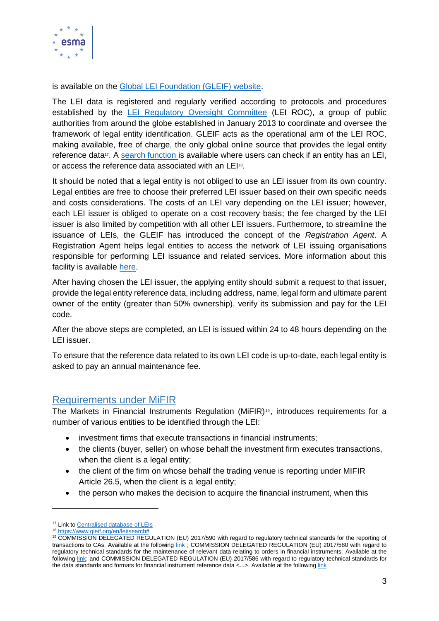

is available on the [Global LEI Foundation \(GLEIF\) website.](https://www.gleif.org/en/)

The LEI data is registered and regularly verified according to protocols and procedures established by the [LEI Regulatory Oversight Committee](https://www.gleif.org/en/about/governance/lei-regulatory-oversight-committee-lei-roc) (LEI ROC), a group of public authorities from around the globe established in January 2013 to coordinate and oversee the framework of legal entity identification. GLEIF acts as the operational arm of the LEI ROC, making available, free of charge, the only global online source that provides the legal entity reference data<sup>17</sup>. A [search function i](https://www.gleif.org/lei/search)s available where users can check if an entity has an LEI, or access the reference data associated with an LEI<sup>18</sup>.

It should be noted that a legal entity is not obliged to use an LEI issuer from its own country. Legal entities are free to choose their preferred LEI issuer based on their own specific needs and costs considerations. The costs of an LEI vary depending on the LEI issuer; however, each LEI issuer is obliged to operate on a cost recovery basis; the fee charged by the LEI issuer is also limited by competition with all other LEI issuers. Furthermore, to streamline the issuance of LEIs, the GLEIF has introduced the concept of the *Registration Agent*. A Registration Agent helps legal entities to access the network of LEI issuing organisations responsible for performing LEI issuance and related services. More information about this facility is available [here.](https://www.gleif.org/en/about-lei/how-to-get-an-lei-find-lei-issuing-organizations/registration-agents)

After having chosen the LEI issuer, the applying entity should submit a request to that issuer, provide the legal entity reference data, including address, name, legal form and ultimate parent owner of the entity (greater than 50% ownership), verify its submission and pay for the LEI code.

After the above steps are completed, an LEI is issued within 24 to 48 hours depending on the LEI issuer.

To ensure that the reference data related to its own LEI code is up-to-date, each legal entity is asked to pay an annual maintenance fee.

#### Requirements under MiFIR

The Markets in Financial Instruments Requlation (MiFIR)<sup>19</sup>, introduces requirements for a number of various entities to be identified through the LEI:

- investment firms that execute transactions in financial instruments;
- the clients (buver, seller) on whose behalf the investment firm executes transactions, when the client is a legal entity;
- the client of the firm on whose behalf the trading venue is reporting under MIFIR Article 26.5, when the client is a legal entity;
- the person who makes the decision to acquire the financial instrument, when this

 $\overline{a}$ 

<sup>17</sup> Link t[o Centralised database of LEIs](https://www.gleif.org/en/services/gleif-services/access-lei-data)

<sup>18</sup> [https://www.gleif.org/en/lei/search#](https://www.gleif.org/en/lei/search)

<sup>19</sup> COMMISSION DELEGATED REGULATION (EU) 2017/590 with regard to regulatory technical standards for the reporting of transactions to CAs. Available at the following [link](http://eur-lex.europa.eu/legal-content/EN/TXT/?uri=uriserv:OJ.L_.2017.087.01.0449.01.ENG&toc=OJ:L:2017:087:TOC) ; COMMISSION DELEGATED REGULATION (EU) 2017/580 with regard to regulatory technical standards for the maintenance of relevant data relating to orders in financial instruments. Available at the followin[g link;](http://eur-lex.europa.eu/legal-content/EN/TXT/?uri=uriserv:OJ.L_.2017.087.01.0193.01.ENG&toc=OJ:L:2017:087:TOC) and COMMISSION DELEGATED REGULATION (EU) 2017/586 with regard to regulatory technical standards for the data standards and formats for financial instrument reference data <...>. Available at the following [link](http://eur-lex.europa.eu/legal-content/EN/TXT/PDF/?uri=CELEX:32017R0585&from=EN)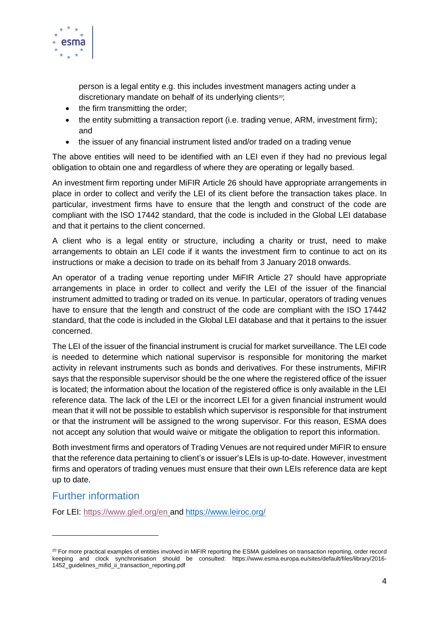

person is a legal entity e.g. this includes investment managers acting under a discretionary mandate on behalf of its underlying clients<sup>20</sup>;

- the firm transmitting the order;
- $\bullet$  the entity submitting a transaction report (i.e. trading venue, ARM, investment firm); and
- the issuer of any financial instrument listed and/or traded on a trading venue

The above entities will need to be identified with an LEI even if they had no previous legal obligation to obtain one and regardless of where they are operating or legally based.

An investment firm reporting under MiFIR Article 26 should have appropriate arrangements in place in order to collect and verify the LEI of its client before the transaction takes place. In particular, investment firms have to ensure that the length and construct of the code are compliant with the ISO 17442 standard, that the code is included in the Global LEI database and that it pertains to the client concerned.

A client who is a legal entity or structure, including a charity or trust, need to make arrangements to obtain an LEI code if it wants the investment firm to continue to act on its instructions or make a decision to trade on its behalf from 3 January 2018 onwards.

An operator of a trading venue reporting under MiFIR Article 27 should have appropriate arrangements in place in order to collect and verify the LEI of the issuer of the financial instrument admitted to trading or traded on its venue. In particular, operators of trading venues have to ensure that the length and construct of the code are compliant with the ISO 17442 standard, that the code is included in the Global LEI database and that it pertains to the issuer concerned.

The LEI of the issuer of the financial instrument is crucial for market surveillance. The LEI code is needed to determine which national supervisor is responsible for monitoring the market activity in relevant instruments such as bonds and derivatives. For these instruments, MiFIR says that the responsible supervisor should be the one where the registered office of the issuer is located; the information about the location of the registered office is only available in the LEI reference data. The lack of the LEI or the incorrect LEI for a given financial instrument would mean that it will not be possible to establish which supervisor is responsible for that instrument or that the instrument will be assigned to the wrong supervisor. For this reason, ESMA does not accept any solution that would waive or mitigate the obligation to report this information.

Both investment firms and operators of Trading Venues are not required under MiFIR to ensure that the reference data pertaining to client's or issuer's LEIs is up-to-date. However, investment firms and operators of trading venues must ensure that their own LEIs reference data are kept up to date.

# Further information

 $\overline{a}$ 

For LEI:<https://www.gleif.org/en> and<https://www.leiroc.org/>

 $^{20}$  For more practical examples of entities involved in MiFIR reporting the ESMA guidelines on transaction reporting, order record keeping and clock synchronisation should be consulted: https://www.esma.europa.eu/sites/default/files/library/2016- 1452\_guidelines\_mifid\_ii\_transaction\_reporting.pdf